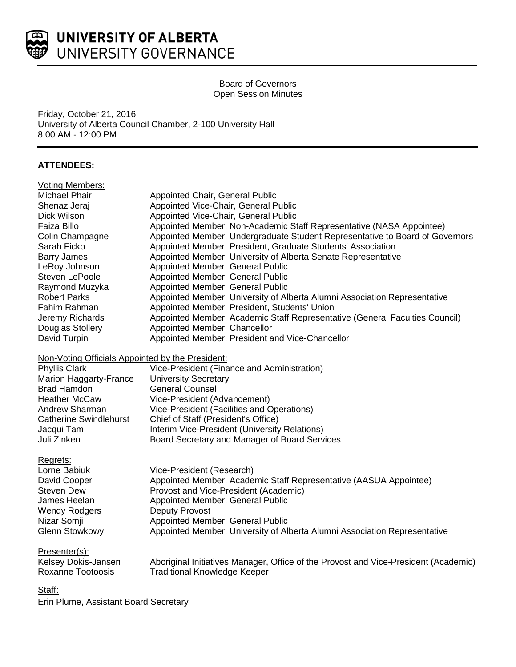

## Board of Governors Open Session Minutes

Friday, October 21, 2016 University of Alberta Council Chamber, 2-100 University Hall 8:00 AM - 12:00 PM

# **ATTENDEES:**

| <b>Voting Members:</b>                           |                                                                                     |
|--------------------------------------------------|-------------------------------------------------------------------------------------|
| <b>Michael Phair</b>                             | Appointed Chair, General Public                                                     |
| Shenaz Jeraj                                     | Appointed Vice-Chair, General Public                                                |
| Dick Wilson                                      | Appointed Vice-Chair, General Public                                                |
| Faiza Billo                                      | Appointed Member, Non-Academic Staff Representative (NASA Appointee)                |
| Colin Champagne                                  | Appointed Member, Undergraduate Student Representative to Board of Governors        |
| Sarah Ficko                                      | Appointed Member, President, Graduate Students' Association                         |
| <b>Barry James</b>                               | Appointed Member, University of Alberta Senate Representative                       |
| LeRoy Johnson                                    | Appointed Member, General Public                                                    |
| Steven LePoole                                   | Appointed Member, General Public                                                    |
| Raymond Muzyka                                   | Appointed Member, General Public                                                    |
| <b>Robert Parks</b>                              | Appointed Member, University of Alberta Alumni Association Representative           |
| Fahim Rahman                                     | Appointed Member, President, Students' Union                                        |
| Jeremy Richards                                  | Appointed Member, Academic Staff Representative (General Faculties Council)         |
| Douglas Stollery                                 | Appointed Member, Chancellor                                                        |
| David Turpin                                     | Appointed Member, President and Vice-Chancellor                                     |
| Non-Voting Officials Appointed by the President: |                                                                                     |
| Phyllis Clark                                    | Vice-President (Finance and Administration)                                         |
| Marion Haggarty-France                           | <b>University Secretary</b>                                                         |
| <b>Brad Hamdon</b>                               | <b>General Counsel</b>                                                              |
| <b>Heather McCaw</b>                             | Vice-President (Advancement)                                                        |
| Andrew Sharman                                   | Vice-President (Facilities and Operations)                                          |
| <b>Catherine Swindlehurst</b>                    | Chief of Staff (President's Office)                                                 |
| Jacqui Tam                                       | Interim Vice-President (University Relations)                                       |
| Juli Zinken                                      | Board Secretary and Manager of Board Services                                       |
| Regrets:                                         |                                                                                     |
| Lorne Babiuk                                     | Vice-President (Research)                                                           |
| David Cooper                                     | Appointed Member, Academic Staff Representative (AASUA Appointee)                   |
| <b>Steven Dew</b>                                | Provost and Vice-President (Academic)                                               |
| James Heelan                                     | Appointed Member, General Public                                                    |
| <b>Wendy Rodgers</b>                             | <b>Deputy Provost</b>                                                               |
| Nizar Somji                                      | Appointed Member, General Public                                                    |
| <b>Glenn Stowkowy</b>                            | Appointed Member, University of Alberta Alumni Association Representative           |
| Presenter(s):                                    |                                                                                     |
| Kelsey Dokis-Jansen                              | Aboriginal Initiatives Manager, Office of the Provost and Vice-President (Academic) |
| <b>Roxanne Tootoosis</b>                         | <b>Traditional Knowledge Keeper</b>                                                 |
| Staff:                                           |                                                                                     |

Erin Plume, Assistant Board Secretary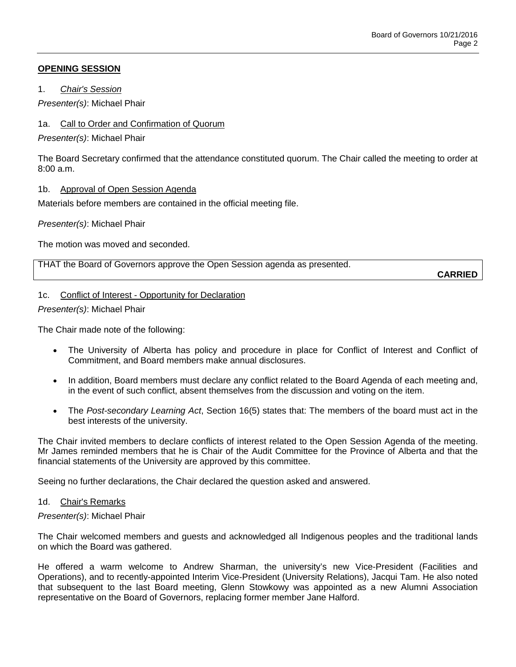## **OPENING SESSION**

1. *Chair's Session*

*Presenter(s)*: Michael Phair

## 1a. Call to Order and Confirmation of Quorum

*Presenter(s)*: Michael Phair

The Board Secretary confirmed that the attendance constituted quorum. The Chair called the meeting to order at 8:00 a.m.

## 1b. Approval of Open Session Agenda

Materials before members are contained in the official meeting file.

*Presenter(s)*: Michael Phair

The motion was moved and seconded.

THAT the Board of Governors approve the Open Session agenda as presented.

**CARRIED**

## 1c. Conflict of Interest - Opportunity for Declaration

*Presenter(s)*: Michael Phair

The Chair made note of the following:

- The University of Alberta has policy and procedure in place for Conflict of Interest and Conflict of Commitment, and Board members make annual disclosures.
- In addition, Board members must declare any conflict related to the Board Agenda of each meeting and, in the event of such conflict, absent themselves from the discussion and voting on the item.
- The *Post-secondary Learning Act*, Section 16(5) states that: The members of the board must act in the best interests of the university.

The Chair invited members to declare conflicts of interest related to the Open Session Agenda of the meeting. Mr James reminded members that he is Chair of the Audit Committee for the Province of Alberta and that the financial statements of the University are approved by this committee.

Seeing no further declarations, the Chair declared the question asked and answered.

## 1d. Chair's Remarks

## *Presenter(s)*: Michael Phair

The Chair welcomed members and guests and acknowledged all Indigenous peoples and the traditional lands on which the Board was gathered.

He offered a warm welcome to Andrew Sharman, the university's new Vice-President (Facilities and Operations), and to recently-appointed Interim Vice-President (University Relations), Jacqui Tam. He also noted that subsequent to the last Board meeting, Glenn Stowkowy was appointed as a new Alumni Association representative on the Board of Governors, replacing former member Jane Halford.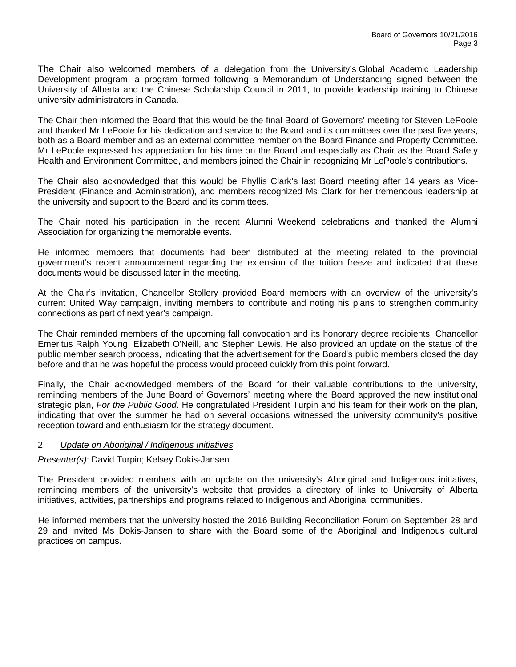The Chair also welcomed members of a delegation from the University's Global Academic Leadership Development program, a program formed following a Memorandum of Understanding signed between the University of Alberta and the Chinese Scholarship Council in 2011, to provide leadership training to Chinese university administrators in Canada.

The Chair then informed the Board that this would be the final Board of Governors' meeting for Steven LePoole and thanked Mr LePoole for his dedication and service to the Board and its committees over the past five years, both as a Board member and as an external committee member on the Board Finance and Property Committee. Mr LePoole expressed his appreciation for his time on the Board and especially as Chair as the Board Safety Health and Environment Committee, and members joined the Chair in recognizing Mr LePoole's contributions.

The Chair also acknowledged that this would be Phyllis Clark's last Board meeting after 14 years as Vice-President (Finance and Administration), and members recognized Ms Clark for her tremendous leadership at the university and support to the Board and its committees.

The Chair noted his participation in the recent Alumni Weekend celebrations and thanked the Alumni Association for organizing the memorable events.

He informed members that documents had been distributed at the meeting related to the provincial government's recent announcement regarding the extension of the tuition freeze and indicated that these documents would be discussed later in the meeting.

At the Chair's invitation, Chancellor Stollery provided Board members with an overview of the university's current United Way campaign, inviting members to contribute and noting his plans to strengthen community connections as part of next year's campaign.

The Chair reminded members of the upcoming fall convocation and its honorary degree recipients, Chancellor Emeritus Ralph Young, Elizabeth O'Neill, and Stephen Lewis. He also provided an update on the status of the public member search process, indicating that the advertisement for the Board's public members closed the day before and that he was hopeful the process would proceed quickly from this point forward.

Finally, the Chair acknowledged members of the Board for their valuable contributions to the university, reminding members of the June Board of Governors' meeting where the Board approved the new institutional strategic plan, *For the Public Good*. He congratulated President Turpin and his team for their work on the plan, indicating that over the summer he had on several occasions witnessed the university community's positive reception toward and enthusiasm for the strategy document.

## 2. *Update on Aboriginal / Indigenous Initiatives*

*Presenter(s)*: David Turpin; Kelsey Dokis-Jansen

The President provided members with an update on the university's Aboriginal and Indigenous initiatives, reminding members of the university's website that provides a directory of links to University of Alberta initiatives, activities, partnerships and programs related to Indigenous and Aboriginal communities.

He informed members that the university hosted the 2016 Building Reconciliation Forum on September 28 and 29 and invited Ms Dokis-Jansen to share with the Board some of the Aboriginal and Indigenous cultural practices on campus.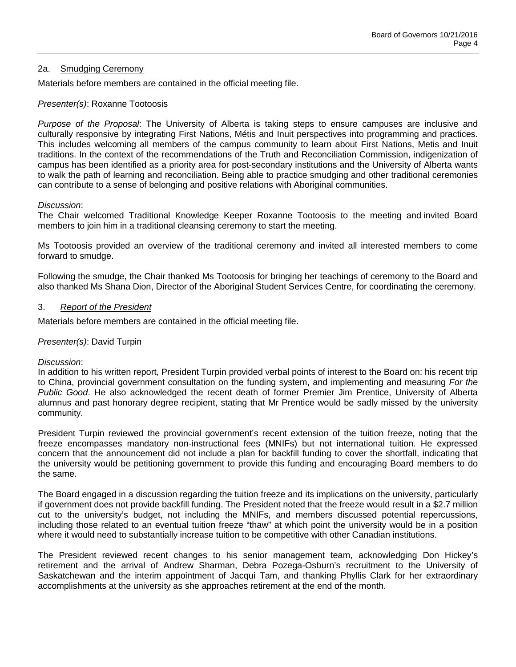## 2a. Smudging Ceremony

Materials before members are contained in the official meeting file.

### *Presenter(s)*: Roxanne Tootoosis

*Purpose of the Proposal*: The University of Alberta is taking steps to ensure campuses are inclusive and culturally responsive by integrating First Nations, Métis and Inuit perspectives into programming and practices. This includes welcoming all members of the campus community to learn about First Nations, Metis and Inuit traditions. In the context of the recommendations of the Truth and Reconciliation Commission, indigenization of campus has been identified as a priority area for post-secondary institutions and the University of Alberta wants to walk the path of learning and reconciliation. Being able to practice smudging and other traditional ceremonies can contribute to a sense of belonging and positive relations with Aboriginal communities.

#### *Discussion*:

The Chair welcomed Traditional Knowledge Keeper Roxanne Tootoosis to the meeting and invited Board members to join him in a traditional cleansing ceremony to start the meeting.

Ms Tootoosis provided an overview of the traditional ceremony and invited all interested members to come forward to smudge.

Following the smudge, the Chair thanked Ms Tootoosis for bringing her teachings of ceremony to the Board and also thanked Ms Shana Dion, Director of the Aboriginal Student Services Centre, for coordinating the ceremony.

### 3. *Report of the President*

Materials before members are contained in the official meeting file.

## *Presenter(s)*: David Turpin

## *Discussion*:

In addition to his written report, President Turpin provided verbal points of interest to the Board on: his recent trip to China, provincial government consultation on the funding system, and implementing and measuring *For the Public Good*. He also acknowledged the recent death of former Premier Jim Prentice, University of Alberta alumnus and past honorary degree recipient, stating that Mr Prentice would be sadly missed by the university community.

President Turpin reviewed the provincial government's recent extension of the tuition freeze, noting that the freeze encompasses mandatory non-instructional fees (MNIFs) but not international tuition. He expressed concern that the announcement did not include a plan for backfill funding to cover the shortfall, indicating that the university would be petitioning government to provide this funding and encouraging Board members to do the same.

The Board engaged in a discussion regarding the tuition freeze and its implications on the university, particularly if government does not provide backfill funding. The President noted that the freeze would result in a \$2.7 million cut to the university's budget, not including the MNIFs, and members discussed potential repercussions, including those related to an eventual tuition freeze "thaw" at which point the university would be in a position where it would need to substantially increase tuition to be competitive with other Canadian institutions.

The President reviewed recent changes to his senior management team, acknowledging Don Hickey's retirement and the arrival of Andrew Sharman, Debra Pozega-Osburn's recruitment to the University of Saskatchewan and the interim appointment of Jacqui Tam, and thanking Phyllis Clark for her extraordinary accomplishments at the university as she approaches retirement at the end of the month.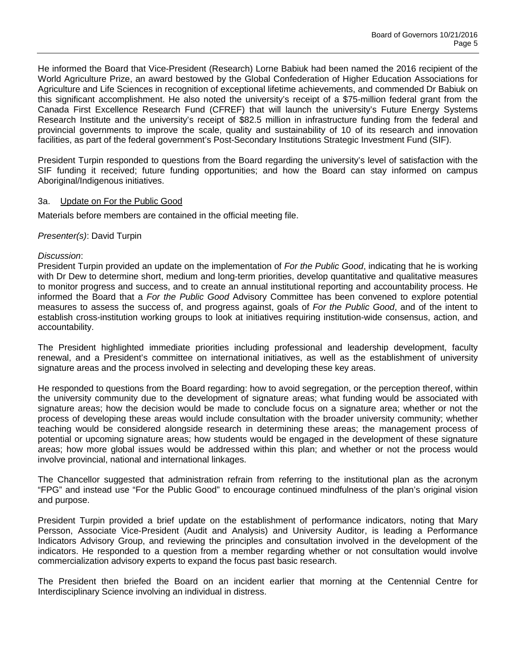He informed the Board that Vice-President (Research) Lorne Babiuk had been named the 2016 recipient of the World Agriculture Prize, an award bestowed by the Global Confederation of Higher Education Associations for Agriculture and Life Sciences in recognition of exceptional lifetime achievements, and commended Dr Babiuk on this significant accomplishment. He also noted the university's receipt of a \$75-million federal grant from the Canada First Excellence Research Fund (CFREF) that will launch the university's Future Energy Systems Research Institute and the university's receipt of \$82.5 million in infrastructure funding from the federal and provincial governments to improve the scale, quality and sustainability of 10 of its research and innovation facilities, as part of the federal government's Post-Secondary Institutions Strategic Investment Fund (SIF).

President Turpin responded to questions from the Board regarding the university's level of satisfaction with the SIF funding it received; future funding opportunities; and how the Board can stay informed on campus Aboriginal/Indigenous initiatives.

### 3a. Update on For the Public Good

Materials before members are contained in the official meeting file.

### *Presenter(s)*: David Turpin

### *Discussion*:

President Turpin provided an update on the implementation of *For the Public Good*, indicating that he is working with Dr Dew to determine short, medium and long-term priorities, develop quantitative and qualitative measures to monitor progress and success, and to create an annual institutional reporting and accountability process. He informed the Board that a *For the Public Good* Advisory Committee has been convened to explore potential measures to assess the success of, and progress against, goals of *For the Public Good*, and of the intent to establish cross-institution working groups to look at initiatives requiring institution-wide consensus, action, and accountability.

The President highlighted immediate priorities including professional and leadership development, faculty renewal, and a President's committee on international initiatives, as well as the establishment of university signature areas and the process involved in selecting and developing these key areas.

He responded to questions from the Board regarding: how to avoid segregation, or the perception thereof, within the university community due to the development of signature areas; what funding would be associated with signature areas; how the decision would be made to conclude focus on a signature area; whether or not the process of developing these areas would include consultation with the broader university community; whether teaching would be considered alongside research in determining these areas; the management process of potential or upcoming signature areas; how students would be engaged in the development of these signature areas; how more global issues would be addressed within this plan; and whether or not the process would involve provincial, national and international linkages.

The Chancellor suggested that administration refrain from referring to the institutional plan as the acronym "FPG" and instead use "For the Public Good" to encourage continued mindfulness of the plan's original vision and purpose.

President Turpin provided a brief update on the establishment of performance indicators, noting that Mary Persson, Associate Vice-President (Audit and Analysis) and University Auditor, is leading a Performance Indicators Advisory Group, and reviewing the principles and consultation involved in the development of the indicators. He responded to a question from a member regarding whether or not consultation would involve commercialization advisory experts to expand the focus past basic research.

The President then briefed the Board on an incident earlier that morning at the Centennial Centre for Interdisciplinary Science involving an individual in distress.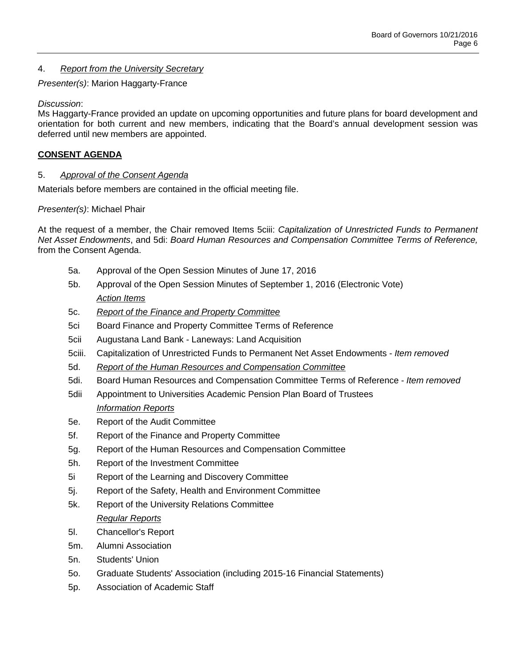## 4. *Report from the University Secretary*

*Presenter(s)*: Marion Haggarty-France

## *Discussion*:

Ms Haggarty-France provided an update on upcoming opportunities and future plans for board development and orientation for both current and new members, indicating that the Board's annual development session was deferred until new members are appointed.

# **CONSENT AGENDA**

## 5. *Approval of the Consent Agenda*

Materials before members are contained in the official meeting file.

## *Presenter(s)*: Michael Phair

At the request of a member, the Chair removed Items 5ciii: *Capitalization of Unrestricted Funds to Permanent Net Asset Endowments*, and 5di: *Board Human Resources and Compensation Committee Terms of Reference,* from the Consent Agenda.

- 5a. Approval of the Open Session Minutes of June 17, 2016
- 5b. Approval of the Open Session Minutes of September 1, 2016 (Electronic Vote) *Action Items*
- 5c. *Report of the Finance and Property Committee*
- 5ci Board Finance and Property Committee Terms of Reference
- 5cii Augustana Land Bank Laneways: Land Acquisition
- 5ciii. Capitalization of Unrestricted Funds to Permanent Net Asset Endowments *Item removed*
- 5d. *Report of the Human Resources and Compensation Committee*
- 5di. Board Human Resources and Compensation Committee Terms of Reference *Item removed*
- 5dii Appointment to Universities Academic Pension Plan Board of Trustees *Information Reports*
- 5e. Report of the Audit Committee
- 5f. Report of the Finance and Property Committee
- 5g. Report of the Human Resources and Compensation Committee
- 5h. Report of the Investment Committee
- 5i Report of the Learning and Discovery Committee
- 5j. Report of the Safety, Health and Environment Committee
- 5k. Report of the University Relations Committee *Regular Reports*
- 5l. Chancellor's Report
- 5m. Alumni Association
- 5n. Students' Union
- 5o. Graduate Students' Association (including 2015-16 Financial Statements)
- 5p. Association of Academic Staff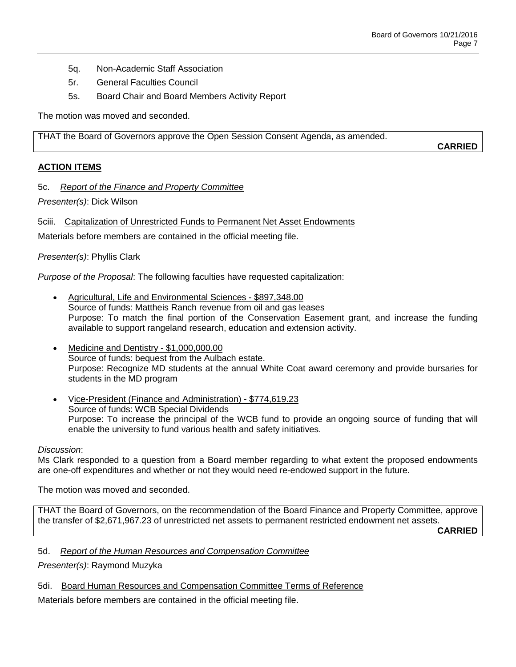- 5q. Non-Academic Staff Association
- 5r. General Faculties Council
- 5s. Board Chair and Board Members Activity Report

The motion was moved and seconded.

THAT the Board of Governors approve the Open Session Consent Agenda, as amended.

**CARRIED**

## **ACTION ITEMS**

## 5c. *Report of the Finance and Property Committee*

*Presenter(s)*: Dick Wilson

5ciii. Capitalization of Unrestricted Funds to Permanent Net Asset Endowments

Materials before members are contained in the official meeting file.

## *Presenter(s)*: Phyllis Clark

*Purpose of the Proposal*: The following faculties have requested capitalization:

- Agricultural, Life and Environmental Sciences \$897,348.00 Source of funds: Mattheis Ranch revenue from oil and gas leases Purpose: To match the final portion of the Conservation Easement grant, and increase the funding available to support rangeland research, education and extension activity.
- Medicine and Dentistry \$1,000,000.00 Source of funds: bequest from the Aulbach estate. Purpose: Recognize MD students at the annual White Coat award ceremony and provide bursaries for students in the MD program
- Vice-President (Finance and Administration) \$774,619.23 Source of funds: WCB Special Dividends Purpose: To increase the principal of the WCB fund to provide an ongoing source of funding that will enable the university to fund various health and safety initiatives.

## *Discussion*:

Ms Clark responded to a question from a Board member regarding to what extent the proposed endowments are one-off expenditures and whether or not they would need re-endowed support in the future.

The motion was moved and seconded.

THAT the Board of Governors, on the recommendation of the Board Finance and Property Committee, approve the transfer of \$2,671,967.23 of unrestricted net assets to permanent restricted endowment net assets.

**CARRIED**

## 5d. *Report of the Human Resources and Compensation Committee*

*Presenter(s)*: Raymond Muzyka

5di. Board Human Resources and Compensation Committee Terms of Reference

Materials before members are contained in the official meeting file.